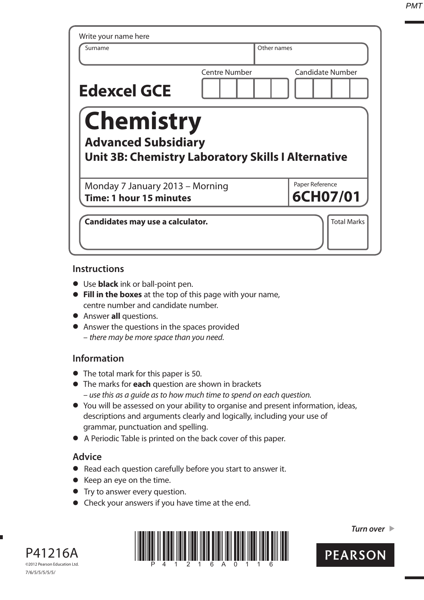*PMT*

| Write your name here<br>Surname                                                                             | Other names   |                             |
|-------------------------------------------------------------------------------------------------------------|---------------|-----------------------------|
| <b>Edexcel GCE</b>                                                                                          | Centre Number | <b>Candidate Number</b>     |
| <b>Chemistry</b><br><b>Advanced Subsidiary</b><br><b>Unit 3B: Chemistry Laboratory Skills I Alternative</b> |               |                             |
| Monday 7 January 2013 – Morning<br>Time: 1 hour 15 minutes                                                  |               | Paper Reference<br>6CH07/01 |
| Candidates may use a calculator.                                                                            |               | <b>Total Marks</b>          |

## **Instructions**

- **t** Use **black** ink or ball-point pen.
- **Fill in the boxes** at the top of this page with your name, centre number and candidate number.
- **•** Answer **all** questions.
- **•** Answer the questions in the spaces provided – there may be more space than you need.

## **Information**

- The total mark for this paper is 50.
- **t** The marks for **each** question are shown in brackets – use this as a guide as to how much time to spend on each question.
- **t** You will be assessed on your ability to organise and present information, ideas, descriptions and arguments clearly and logically, including your use of grammar, punctuation and spelling.
- **t** A Periodic Table is printed on the back cover of this paper.

## **Advice**

- **•** Read each question carefully before you start to answer it.
- **•** Keep an eye on the time.
- **•** Try to answer every question.
- **•** Check your answers if you have time at the end.



*Turn over* 

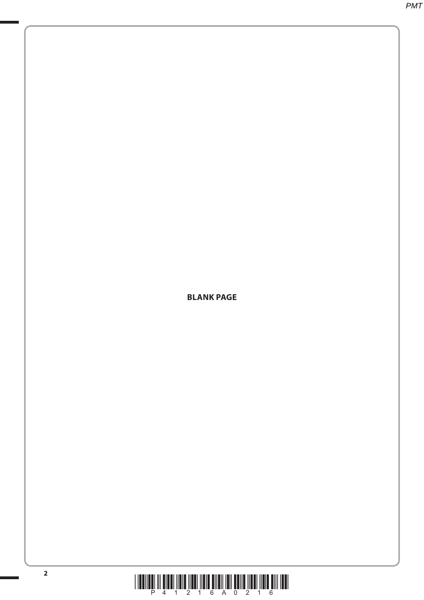**BLANK PAGE** 

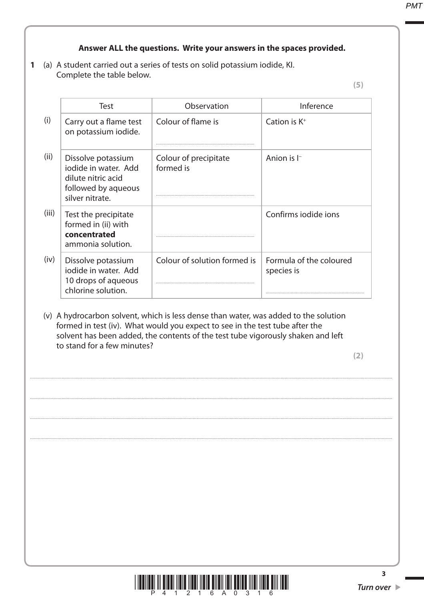## **Answer ALL the questions. Write your answers in the spaces provided.**

**1** (a) A student carried out a series of tests on solid potassium iodide, KI. Complete the table below.

**(5)**

|       | <b>Test</b>                                                                                                | Observation                        | Inference                             |
|-------|------------------------------------------------------------------------------------------------------------|------------------------------------|---------------------------------------|
| (i)   | Carry out a flame test<br>on potassium iodide.                                                             | Colour of flame is                 | Cation is $K^+$                       |
| (ii)  | Dissolve potassium<br>jodide in water. Add<br>dilute nitric acid<br>followed by aqueous<br>silver nitrate. | Colour of precipitate<br>formed is | Anion is I <sup>-</sup>               |
| (iii) | Test the precipitate<br>formed in (ii) with<br>concentrated<br>ammonia solution.                           |                                    | Confirms jodide jons                  |
| (iv)  | Dissolve potassium<br>jodide in water. Add<br>10 drops of aqueous<br>chlorine solution.                    | Colour of solution formed is       | Formula of the coloured<br>species is |

 (v) A hydrocarbon solvent, which is less dense than water, was added to the solution formed in test (iv). What would you expect to see in the test tube after the solvent has been added, the contents of the test tube vigorously shaken and left to stand for a few minutes?

....................................................................................................................................................................................................................................................................................

....................................................................................................................................................................................................................................................................................

....................................................................................................................................................................................................................................................................................

....................................................................................................................................................................................................................................................................................

**(2)**

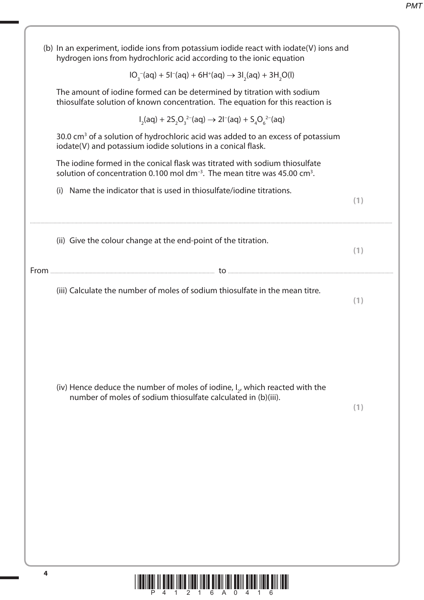|   | (b) In an experiment, iodide ions from potassium iodide react with iodate(V) ions and<br>hydrogen ions from hydrochloric acid according to the ionic equation                    |     |  |  |  |  |  |  |  |  |
|---|----------------------------------------------------------------------------------------------------------------------------------------------------------------------------------|-----|--|--|--|--|--|--|--|--|
|   | $IO_{3}^{-}(aq) + 5I^{-}(aq) + 6H^{+}(aq) \rightarrow 3I_{2}(aq) + 3H_{2}O(l)$                                                                                                   |     |  |  |  |  |  |  |  |  |
|   | The amount of iodine formed can be determined by titration with sodium<br>thiosulfate solution of known concentration. The equation for this reaction is                         |     |  |  |  |  |  |  |  |  |
|   | $I_2(aq) + 25. Q_3^{2-}(aq) \rightarrow 2I^-(aq) + 5. Q_6^{2-}(aq)$                                                                                                              |     |  |  |  |  |  |  |  |  |
|   | 30.0 cm <sup>3</sup> of a solution of hydrochloric acid was added to an excess of potassium<br>iodate(V) and potassium iodide solutions in a conical flask.                      |     |  |  |  |  |  |  |  |  |
|   | The iodine formed in the conical flask was titrated with sodium thiosulfate<br>solution of concentration 0.100 mol dm <sup>-3</sup> . The mean titre was 45.00 cm <sup>3</sup> . |     |  |  |  |  |  |  |  |  |
|   | Name the indicator that is used in thiosulfate/iodine titrations.<br>(i)                                                                                                         | (1) |  |  |  |  |  |  |  |  |
|   |                                                                                                                                                                                  |     |  |  |  |  |  |  |  |  |
|   | (ii) Give the colour change at the end-point of the titration.                                                                                                                   | (1) |  |  |  |  |  |  |  |  |
|   |                                                                                                                                                                                  |     |  |  |  |  |  |  |  |  |
|   | (iii) Calculate the number of moles of sodium thiosulfate in the mean titre.                                                                                                     |     |  |  |  |  |  |  |  |  |
|   | (iv) Hence deduce the number of moles of iodine, $I_{2}$ , which reacted with the<br>number of moles of sodium thiosulfate calculated in (b)(iii).                               | (1) |  |  |  |  |  |  |  |  |
| 4 |                                                                                                                                                                                  |     |  |  |  |  |  |  |  |  |
|   |                                                                                                                                                                                  |     |  |  |  |  |  |  |  |  |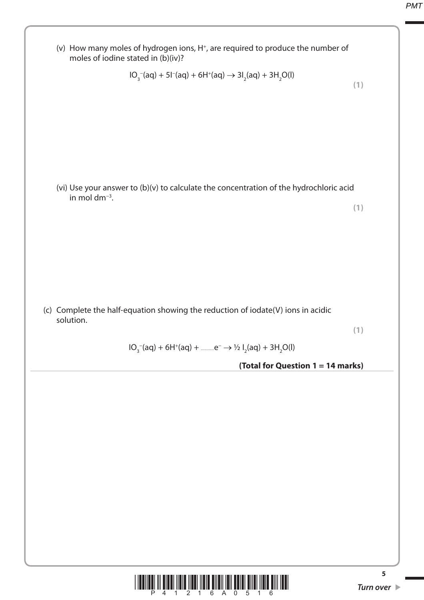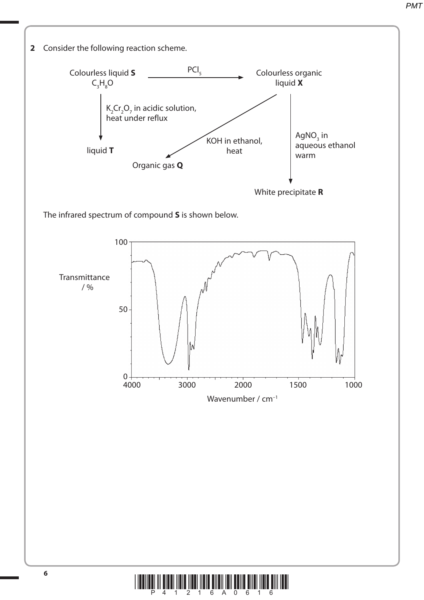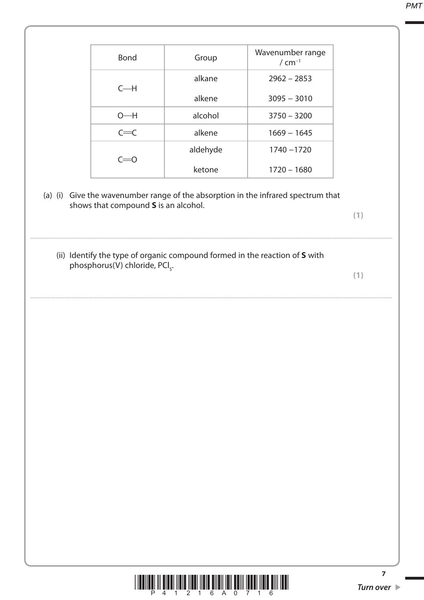| Bond                                       | Group    | Wavenumber range<br>$/ cm^{-1}$                                                   |                |
|--------------------------------------------|----------|-----------------------------------------------------------------------------------|----------------|
| $C-H$                                      | alkane   | $2962 - 2853$                                                                     |                |
|                                            | alkene   | $3095 - 3010$                                                                     |                |
| $O-H$                                      | alcohol  | $3750 - 3200$                                                                     |                |
| $C = C$                                    | alkene   | $1669 - 1645$                                                                     |                |
| $C = 0$                                    | aldehyde | $1740 - 1720$                                                                     |                |
|                                            | ketone   | $1720 - 1680$                                                                     |                |
|                                            |          | (a) (i) Give the wavenumber range of the absorption in the infrared spectrum that |                |
| shows that compound S is an alcohol.       |          |                                                                                   | (1)            |
|                                            |          |                                                                                   |                |
|                                            |          |                                                                                   |                |
| phosphorus(V) chloride, PCI <sub>5</sub> . |          | (ii) Identify the type of organic compound formed in the reaction of S with       |                |
|                                            |          |                                                                                   | (1)            |
|                                            |          |                                                                                   |                |
|                                            |          |                                                                                   |                |
|                                            |          |                                                                                   |                |
|                                            |          |                                                                                   |                |
|                                            |          |                                                                                   |                |
|                                            |          |                                                                                   |                |
|                                            |          |                                                                                   |                |
|                                            |          |                                                                                   |                |
|                                            |          |                                                                                   |                |
|                                            |          |                                                                                   |                |
|                                            |          |                                                                                   |                |
|                                            |          |                                                                                   |                |
|                                            |          |                                                                                   |                |
|                                            |          |                                                                                   |                |
|                                            |          |                                                                                   |                |
|                                            |          |                                                                                   | $\overline{z}$ |

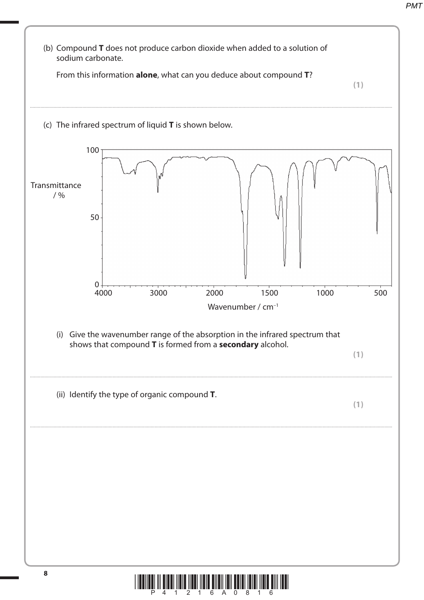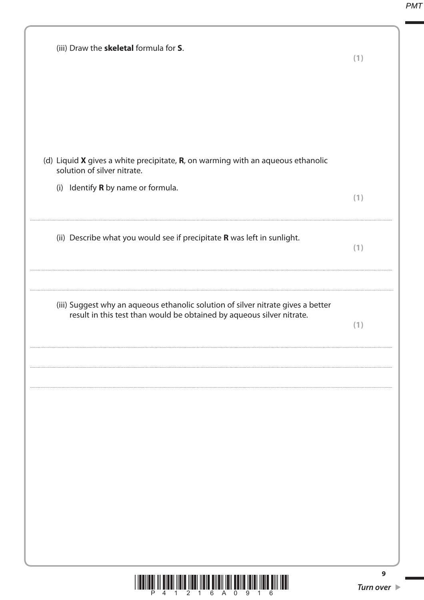| (iii) Draw the skeletal formula for S.                                                                                                                    | (1) |
|-----------------------------------------------------------------------------------------------------------------------------------------------------------|-----|
|                                                                                                                                                           |     |
| (d) Liquid $X$ gives a white precipitate, $R$ , on warming with an aqueous ethanolic<br>solution of silver nitrate.                                       |     |
| (i) Identify $R$ by name or formula.                                                                                                                      | (1) |
| (ii) Describe what you would see if precipitate R was left in sunlight.                                                                                   | (1) |
| (iii) Suggest why an aqueous ethanolic solution of silver nitrate gives a better<br>result in this test than would be obtained by aqueous silver nitrate. | (1) |
|                                                                                                                                                           |     |
|                                                                                                                                                           |     |
|                                                                                                                                                           |     |
|                                                                                                                                                           |     |
|                                                                                                                                                           |     |
|                                                                                                                                                           | 9   |

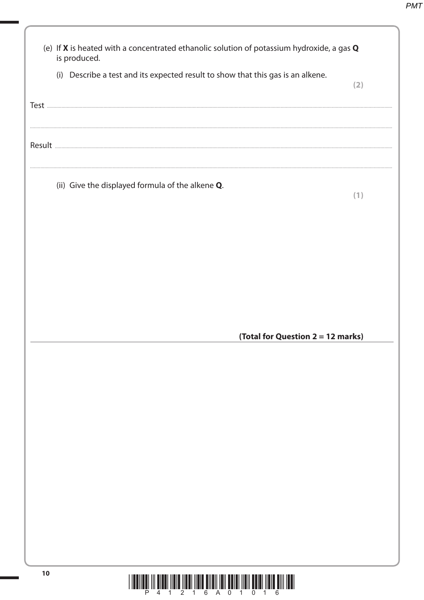|    | (e) If $X$ is heated with a concentrated ethanolic solution of potassium hydroxide, a gas $Q$<br>is produced. |  |
|----|---------------------------------------------------------------------------------------------------------------|--|
|    | (i) Describe a test and its expected result to show that this gas is an alkene.<br>(2)                        |  |
|    |                                                                                                               |  |
|    |                                                                                                               |  |
|    | (ii) Give the displayed formula of the alkene Q.<br>(1)                                                       |  |
|    |                                                                                                               |  |
|    |                                                                                                               |  |
|    |                                                                                                               |  |
|    | (Total for Question 2 = 12 marks)                                                                             |  |
|    |                                                                                                               |  |
|    |                                                                                                               |  |
|    |                                                                                                               |  |
|    |                                                                                                               |  |
|    |                                                                                                               |  |
|    |                                                                                                               |  |
| 10 |                                                                                                               |  |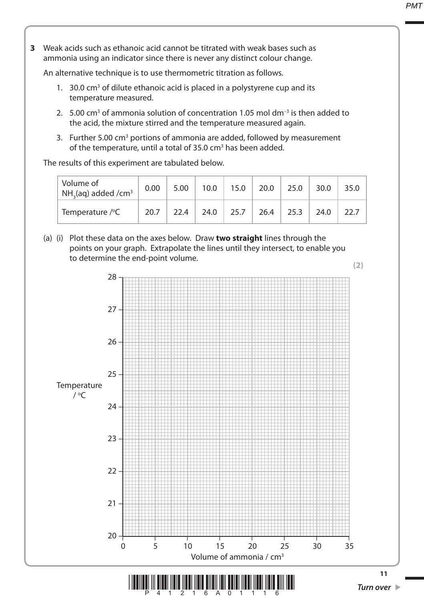**3** Weak acids such as ethanoic acid cannot be titrated with weak bases such as ammonia using an indicator since there is never any distinct colour change.

An alternative technique is to use thermometric titration as follows.

- 1. 30.0 cm<sup>3</sup> of dilute ethanoic acid is placed in a polystyrene cup and its temperature measured.
- 2.  $5.00 \text{ cm}^3$  of ammonia solution of concentration 1.05 mol dm<sup>-3</sup> is then added to the acid, the mixture stirred and the temperature measured again.
- 3. Further 5.00 cm<sup>3</sup> portions of ammonia are added, followed by measurement of the temperature, until a total of 35.0 cm<sup>3</sup> has been added.

The results of this experiment are tabulated below.

| Volume of<br>$NH3(aq) added / cm3$ | 0.00 | 5.00 | 10.0 | $15.0$ 20.0 |        | 25.0 | 30.0 | 35.0 |
|------------------------------------|------|------|------|-------------|--------|------|------|------|
| Temperature / °C                   | 20.7 | 22.4 | 24.0 | 25.7        | - 26.4 | 25.3 | 24.0 | 22.7 |

 (a) (i) Plot these data on the axes below. Draw **two straight** lines through the points on your graph. Extrapolate the lines until they intersect, to enable you to determine the end-point volume. **(2)**



1 2 1

6 A 0 1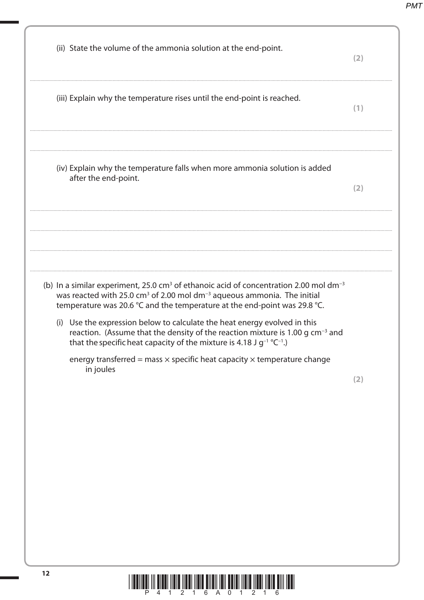PMT

| (ii) State the volume of the ammonia solution at the end-point.                                                                                                                                                                                                                                                                                                                                                                                                                                                                                                                                                                                                    | (2) |
|--------------------------------------------------------------------------------------------------------------------------------------------------------------------------------------------------------------------------------------------------------------------------------------------------------------------------------------------------------------------------------------------------------------------------------------------------------------------------------------------------------------------------------------------------------------------------------------------------------------------------------------------------------------------|-----|
| (iii) Explain why the temperature rises until the end-point is reached.                                                                                                                                                                                                                                                                                                                                                                                                                                                                                                                                                                                            | (1) |
| (iv) Explain why the temperature falls when more ammonia solution is added<br>after the end-point.                                                                                                                                                                                                                                                                                                                                                                                                                                                                                                                                                                 | (2) |
| (b) In a similar experiment, 25.0 cm <sup>3</sup> of ethanoic acid of concentration 2.00 mol dm <sup>-3</sup><br>was reacted with 25.0 cm <sup>3</sup> of 2.00 mol dm <sup>-3</sup> aqueous ammonia. The initial<br>temperature was 20.6 °C and the temperature at the end-point was 29.8 °C.<br>Use the expression below to calculate the heat energy evolved in this<br>(i)<br>reaction. (Assume that the density of the reaction mixture is 1.00 g $cm^{-3}$ and<br>that the specific heat capacity of the mixture is 4.18 J $g^{-1}$ °C <sup>-1</sup> .)<br>energy transferred = mass $\times$ specific heat capacity $\times$ temperature change<br>in joules | (2) |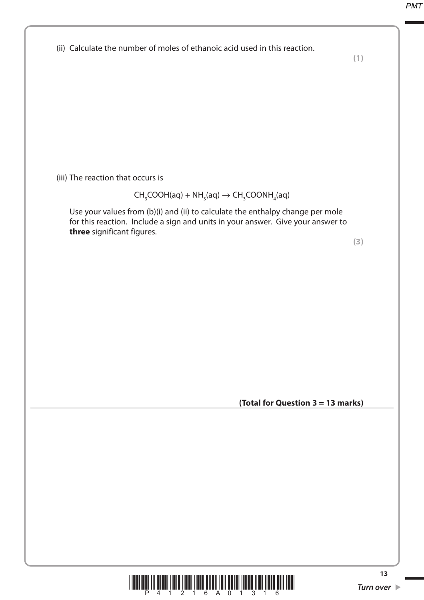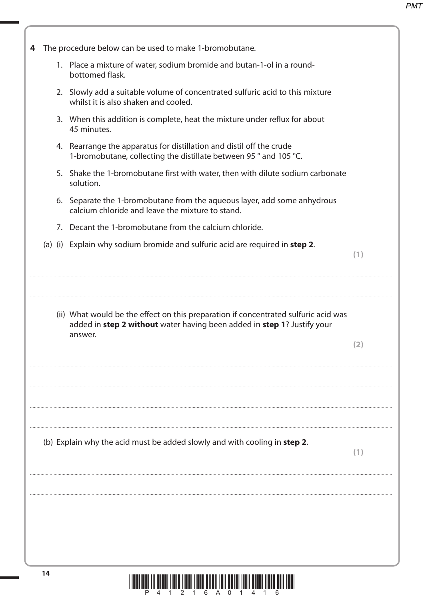| The procedure below can be used to make 1-bromobutane.                                                                                    |     |
|-------------------------------------------------------------------------------------------------------------------------------------------|-----|
| 1. Place a mixture of water, sodium bromide and butan-1-ol in a round-<br>bottomed flask.                                                 |     |
| 2. Slowly add a suitable volume of concentrated sulfuric acid to this mixture<br>whilst it is also shaken and cooled.                     |     |
| 3. When this addition is complete, heat the mixture under reflux for about<br>45 minutes.                                                 |     |
| 4. Rearrange the apparatus for distillation and distil off the crude<br>1-bromobutane, collecting the distillate between 95 ° and 105 °C. |     |
| 5. Shake the 1-bromobutane first with water, then with dilute sodium carbonate<br>solution.                                               |     |
| 6. Separate the 1-bromobutane from the aqueous layer, add some anhydrous<br>calcium chloride and leave the mixture to stand.              |     |
| 7. Decant the 1-bromobutane from the calcium chloride.                                                                                    |     |
| (a) (i) Explain why sodium bromide and sulfuric acid are required in step 2.                                                              | (1) |
|                                                                                                                                           |     |
| (b) Explain why the acid must be added slowly and with cooling in step 2.                                                                 | (1) |
|                                                                                                                                           |     |
|                                                                                                                                           |     |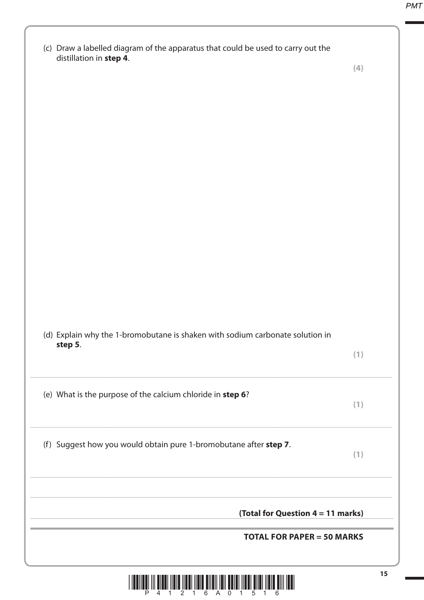| distillation in step 4.                                                                  | (c) Draw a labelled diagram of the apparatus that could be used to carry out the |
|------------------------------------------------------------------------------------------|----------------------------------------------------------------------------------|
|                                                                                          | (4)                                                                              |
|                                                                                          |                                                                                  |
|                                                                                          |                                                                                  |
|                                                                                          |                                                                                  |
|                                                                                          |                                                                                  |
|                                                                                          |                                                                                  |
|                                                                                          |                                                                                  |
|                                                                                          |                                                                                  |
|                                                                                          |                                                                                  |
|                                                                                          |                                                                                  |
|                                                                                          |                                                                                  |
|                                                                                          |                                                                                  |
|                                                                                          |                                                                                  |
|                                                                                          |                                                                                  |
|                                                                                          |                                                                                  |
| (d) Explain why the 1-bromobutane is shaken with sodium carbonate solution in<br>step 5. |                                                                                  |
|                                                                                          | (1)                                                                              |
|                                                                                          |                                                                                  |
| (e) What is the purpose of the calcium chloride in step 6?                               | (1)                                                                              |
|                                                                                          |                                                                                  |
| (f) Suggest how you would obtain pure 1-bromobutane after step 7.                        |                                                                                  |
|                                                                                          | (1)                                                                              |
|                                                                                          |                                                                                  |
| (Total for Question 4 = 11 marks)                                                        |                                                                                  |